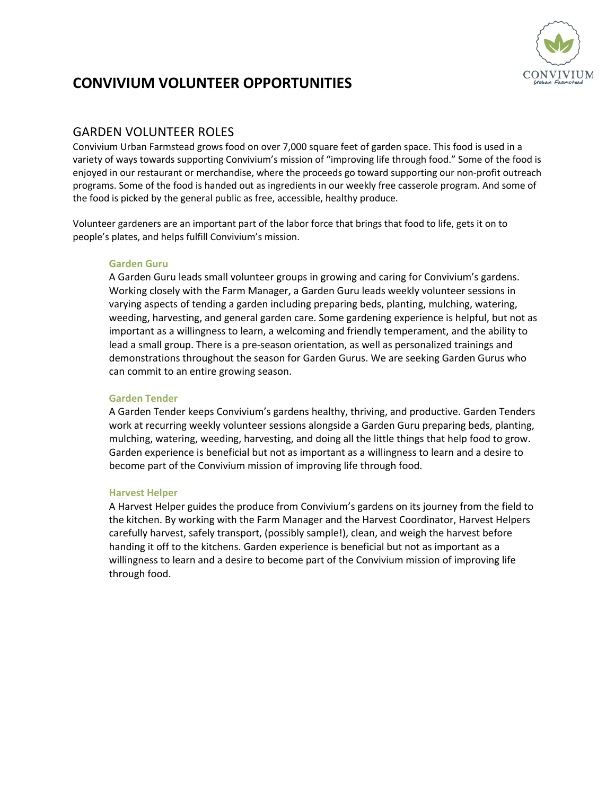

# **CONVIVIUM VOLUNTEER OPPORTUNITIES**

## GARDEN VOLUNTEER ROLES

Convivium Urban Farmstead grows food on over 7,000 square feet of garden space. This food is used in a variety of ways towards supporting Convivium's mission of "improving life through food." Some of the food is enjoyed in our restaurant or merchandise, where the proceeds go toward supporting our non-profit outreach programs. Some of the food is handed out as ingredients in our weekly free casserole program. And some of the food is picked by the general public as free, accessible, healthy produce.

Volunteer gardeners are an important part of the labor force that brings that food to life, gets it on to people's plates, and helps fulfill Convivium's mission.

#### **Garden Guru**

A Garden Guru leads small volunteer groups in growing and caring for Convivium's gardens. Working closely with the Farm Manager, a Garden Guru leads weekly volunteer sessions in varying aspects of tending a garden including preparing beds, planting, mulching, watering, weeding, harvesting, and general garden care. Some gardening experience is helpful, but not as important as a willingness to learn, a welcoming and friendly temperament, and the ability to lead a small group. There is a pre-season orientation, as well as personalized trainings and demonstrations throughout the season for Garden Gurus. We are seeking Garden Gurus who can commit to an entire growing season.

#### **Garden Tender**

A Garden Tender keeps Convivium's gardens healthy, thriving, and productive. Garden Tenders work at recurring weekly volunteer sessions alongside a Garden Guru preparing beds, planting, mulching, watering, weeding, harvesting, and doing all the little things that help food to grow. Garden experience is beneficial but not as important as a willingness to learn and a desire to become part of the Convivium mission of improving life through food.

#### **Harvest Helper**

A Harvest Helper guides the produce from Convivium's gardens on its journey from the field to the kitchen. By working with the Farm Manager and the Harvest Coordinator, Harvest Helpers carefully harvest, safely transport, (possibly sample!), clean, and weigh the harvest before handing it off to the kitchens. Garden experience is beneficial but not as important as a willingness to learn and a desire to become part of the Convivium mission of improving life through food.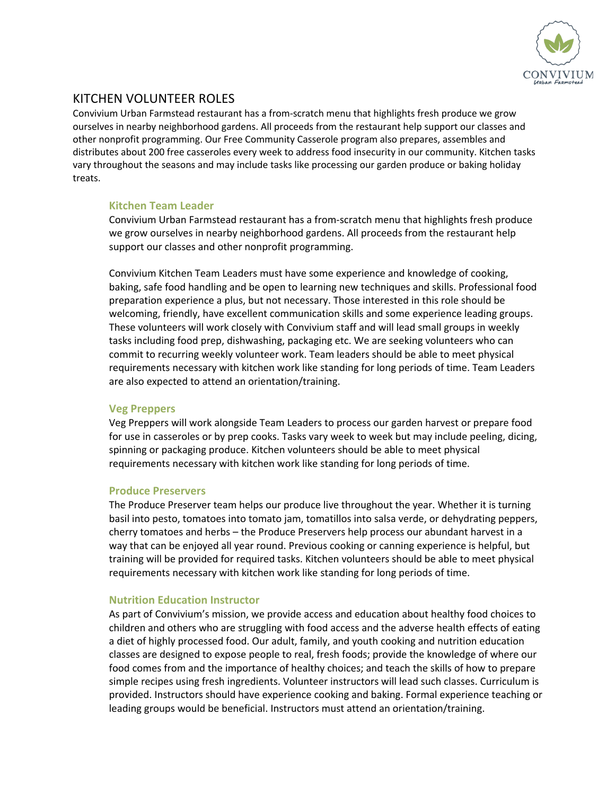

# KITCHEN VOLUNTEER ROLES

Convivium Urban Farmstead restaurant has a from-scratch menu that highlights fresh produce we grow ourselves in nearby neighborhood gardens. All proceeds from the restaurant help support our classes and other nonprofit programming. Our Free Community Casserole program also prepares, assembles and distributes about 200 free casseroles every week to address food insecurity in our community. Kitchen tasks vary throughout the seasons and may include tasks like processing our garden produce or baking holiday treats.

### **Kitchen Team Leader**

Convivium Urban Farmstead restaurant has a from-scratch menu that highlights fresh produce we grow ourselves in nearby neighborhood gardens. All proceeds from the restaurant help support our classes and other nonprofit programming.

Convivium Kitchen Team Leaders must have some experience and knowledge of cooking, baking, safe food handling and be open to learning new techniques and skills. Professional food preparation experience a plus, but not necessary. Those interested in this role should be welcoming, friendly, have excellent communication skills and some experience leading groups. These volunteers will work closely with Convivium staff and will lead small groups in weekly tasks including food prep, dishwashing, packaging etc. We are seeking volunteers who can commit to recurring weekly volunteer work. Team leaders should be able to meet physical requirements necessary with kitchen work like standing for long periods of time. Team Leaders are also expected to attend an orientation/training.

### **Veg Preppers**

Veg Preppers will work alongside Team Leaders to process our garden harvest or prepare food for use in casseroles or by prep cooks. Tasks vary week to week but may include peeling, dicing, spinning or packaging produce. Kitchen volunteers should be able to meet physical requirements necessary with kitchen work like standing for long periods of time.

### **Produce Preservers**

The Produce Preserver team helps our produce live throughout the year. Whether it is turning basil into pesto, tomatoes into tomato jam, tomatillos into salsa verde, or dehydrating peppers, cherry tomatoes and herbs – the Produce Preservers help process our abundant harvest in a way that can be enjoyed all year round. Previous cooking or canning experience is helpful, but training will be provided for required tasks. Kitchen volunteers should be able to meet physical requirements necessary with kitchen work like standing for long periods of time.

### **Nutrition Education Instructor**

As part of Convivium's mission, we provide access and education about healthy food choices to children and others who are struggling with food access and the adverse health effects of eating a diet of highly processed food. Our adult, family, and youth cooking and nutrition education classes are designed to expose people to real, fresh foods; provide the knowledge of where our food comes from and the importance of healthy choices; and teach the skills of how to prepare simple recipes using fresh ingredients. Volunteer instructors will lead such classes. Curriculum is provided. Instructors should have experience cooking and baking. Formal experience teaching or leading groups would be beneficial. Instructors must attend an orientation/training.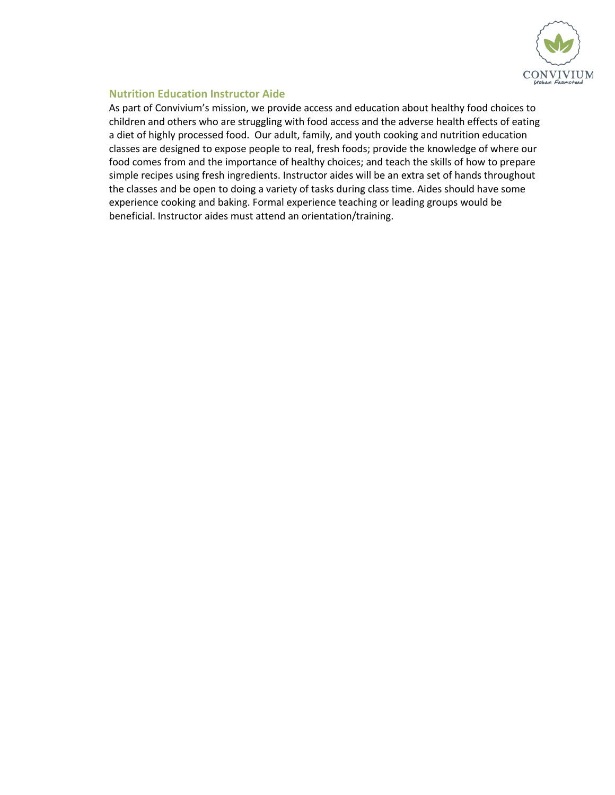

### **Nutrition Education Instructor Aide**

As part of Convivium's mission, we provide access and education about healthy food choices to children and others who are struggling with food access and the adverse health effects of eating a diet of highly processed food. Our adult, family, and youth cooking and nutrition education classes are designed to expose people to real, fresh foods; provide the knowledge of where our food comes from and the importance of healthy choices; and teach the skills of how to prepare simple recipes using fresh ingredients. Instructor aides will be an extra set of hands throughout the classes and be open to doing a variety of tasks during class time. Aides should have some experience cooking and baking. Formal experience teaching or leading groups would be beneficial. Instructor aides must attend an orientation/training.